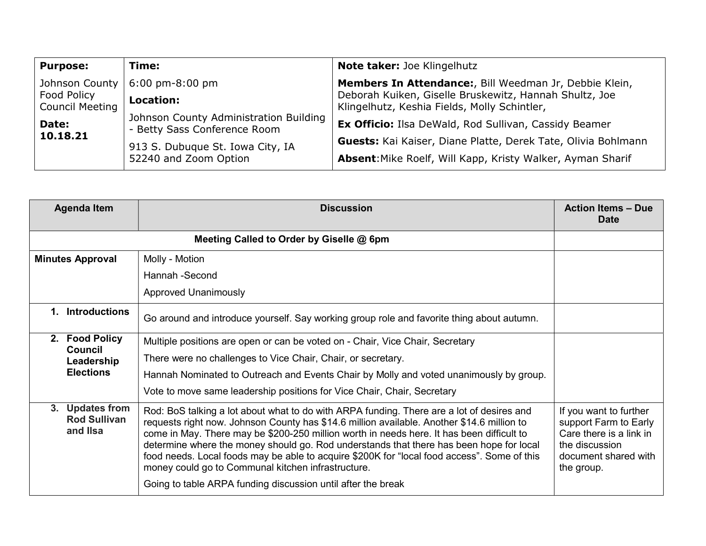| <b>Purpose:</b>                                                                     | Time:                                                                  | <b>Note taker: Joe Klingelhutz</b>                                                                     |  |
|-------------------------------------------------------------------------------------|------------------------------------------------------------------------|--------------------------------------------------------------------------------------------------------|--|
| Johnson County<br>Food Policy<br><b>Council Meeting</b><br><b>Date:</b><br>10.18.21 | $6:00 \text{ pm-}8:00 \text{ pm}$                                      | Members In Attendance:, Bill Weedman Jr, Debbie Klein,                                                 |  |
|                                                                                     | Location:                                                              | Deborah Kuiken, Giselle Bruskewitz, Hannah Shultz, Joe<br>Klingelhutz, Keshia Fields, Molly Schintler, |  |
|                                                                                     | Johnson County Administration Building<br>- Betty Sass Conference Room | <b>Ex Officio:</b> Ilsa DeWald, Rod Sullivan, Cassidy Beamer                                           |  |
|                                                                                     | 913 S. Dubuque St. Iowa City, IA<br>52240 and Zoom Option              | Guests: Kai Kaiser, Diane Platte, Derek Tate, Olivia Bohlmann                                          |  |
|                                                                                     |                                                                        | Absent: Mike Roelf, Will Kapp, Kristy Walker, Ayman Sharif                                             |  |

| <b>Agenda Item</b>                                 | <b>Discussion</b>                                                                                                                                                                                                                                                                                                                                                                                                                                                                                                                                                                                    | <b>Action Items - Due</b><br><b>Date</b>                                                                                           |
|----------------------------------------------------|------------------------------------------------------------------------------------------------------------------------------------------------------------------------------------------------------------------------------------------------------------------------------------------------------------------------------------------------------------------------------------------------------------------------------------------------------------------------------------------------------------------------------------------------------------------------------------------------------|------------------------------------------------------------------------------------------------------------------------------------|
|                                                    |                                                                                                                                                                                                                                                                                                                                                                                                                                                                                                                                                                                                      |                                                                                                                                    |
| <b>Minutes Approval</b>                            | Molly - Motion                                                                                                                                                                                                                                                                                                                                                                                                                                                                                                                                                                                       |                                                                                                                                    |
|                                                    | Hannah -Second                                                                                                                                                                                                                                                                                                                                                                                                                                                                                                                                                                                       |                                                                                                                                    |
|                                                    | <b>Approved Unanimously</b>                                                                                                                                                                                                                                                                                                                                                                                                                                                                                                                                                                          |                                                                                                                                    |
| <b>Introductions</b><br>$\mathbf{1}$               | Go around and introduce yourself. Say working group role and favorite thing about autumn.                                                                                                                                                                                                                                                                                                                                                                                                                                                                                                            |                                                                                                                                    |
| 2. Food Policy<br><b>Council</b><br>Leadership     | Multiple positions are open or can be voted on - Chair, Vice Chair, Secretary                                                                                                                                                                                                                                                                                                                                                                                                                                                                                                                        |                                                                                                                                    |
|                                                    | There were no challenges to Vice Chair, Chair, or secretary.                                                                                                                                                                                                                                                                                                                                                                                                                                                                                                                                         |                                                                                                                                    |
| <b>Elections</b>                                   | Hannah Nominated to Outreach and Events Chair by Molly and voted unanimously by group.                                                                                                                                                                                                                                                                                                                                                                                                                                                                                                               |                                                                                                                                    |
|                                                    | Vote to move same leadership positions for Vice Chair, Chair, Secretary                                                                                                                                                                                                                                                                                                                                                                                                                                                                                                                              |                                                                                                                                    |
| 3. Updates from<br><b>Rod Sullivan</b><br>and Ilsa | Rod: BoS talking a lot about what to do with ARPA funding. There are a lot of desires and<br>requests right now. Johnson County has \$14.6 million available. Another \$14.6 million to<br>come in May. There may be \$200-250 million worth in needs here. It has been difficult to<br>determine where the money should go. Rod understands that there has been hope for local<br>food needs. Local foods may be able to acquire \$200K for "local food access". Some of this<br>money could go to Communal kitchen infrastructure.<br>Going to table ARPA funding discussion until after the break | If you want to further<br>support Farm to Early<br>Care there is a link in<br>the discussion<br>document shared with<br>the group. |
|                                                    |                                                                                                                                                                                                                                                                                                                                                                                                                                                                                                                                                                                                      |                                                                                                                                    |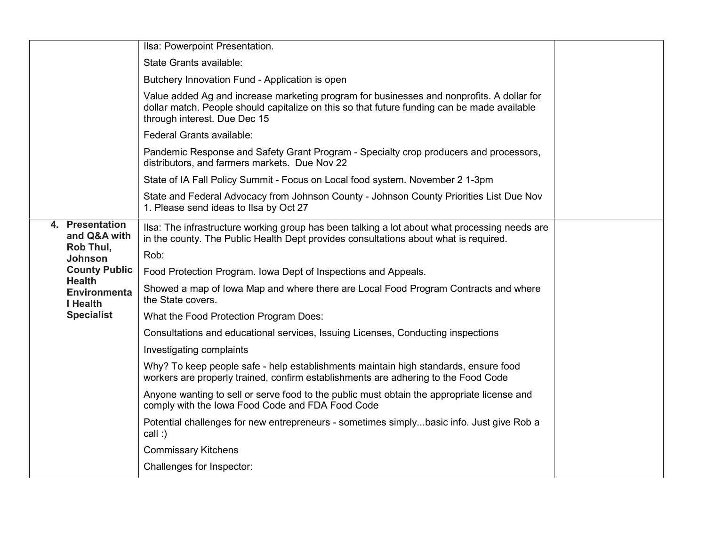|                                                                                                                                     |                                                                                                                                                                                       | Ilsa: Powerpoint Presentation.                                                                                                                                                                                           |  |
|-------------------------------------------------------------------------------------------------------------------------------------|---------------------------------------------------------------------------------------------------------------------------------------------------------------------------------------|--------------------------------------------------------------------------------------------------------------------------------------------------------------------------------------------------------------------------|--|
|                                                                                                                                     | State Grants available:                                                                                                                                                               |                                                                                                                                                                                                                          |  |
|                                                                                                                                     | Butchery Innovation Fund - Application is open                                                                                                                                        |                                                                                                                                                                                                                          |  |
|                                                                                                                                     |                                                                                                                                                                                       | Value added Ag and increase marketing program for businesses and nonprofits. A dollar for<br>dollar match. People should capitalize on this so that future funding can be made available<br>through interest. Due Dec 15 |  |
|                                                                                                                                     | Federal Grants available:                                                                                                                                                             |                                                                                                                                                                                                                          |  |
|                                                                                                                                     | Pandemic Response and Safety Grant Program - Specialty crop producers and processors,<br>distributors, and farmers markets. Due Nov 22                                                |                                                                                                                                                                                                                          |  |
|                                                                                                                                     |                                                                                                                                                                                       | State of IA Fall Policy Summit - Focus on Local food system. November 2 1-3pm                                                                                                                                            |  |
|                                                                                                                                     | State and Federal Advocacy from Johnson County - Johnson County Priorities List Due Nov<br>1. Please send ideas to Ilsa by Oct 27                                                     |                                                                                                                                                                                                                          |  |
| 4. Presentation<br>and Q&A with<br>Rob Thul,<br><b>Johnson</b><br><b>County Public</b><br><b>Health</b><br>Environmenta<br>I Health | Ilsa: The infrastructure working group has been talking a lot about what processing needs are<br>in the county. The Public Health Dept provides consultations about what is required. |                                                                                                                                                                                                                          |  |
|                                                                                                                                     |                                                                                                                                                                                       | Rob:                                                                                                                                                                                                                     |  |
|                                                                                                                                     |                                                                                                                                                                                       | Food Protection Program. Iowa Dept of Inspections and Appeals.                                                                                                                                                           |  |
|                                                                                                                                     |                                                                                                                                                                                       | Showed a map of Iowa Map and where there are Local Food Program Contracts and where<br>the State covers.                                                                                                                 |  |
|                                                                                                                                     | <b>Specialist</b>                                                                                                                                                                     | What the Food Protection Program Does:                                                                                                                                                                                   |  |
|                                                                                                                                     |                                                                                                                                                                                       | Consultations and educational services, Issuing Licenses, Conducting inspections                                                                                                                                         |  |
|                                                                                                                                     |                                                                                                                                                                                       | Investigating complaints                                                                                                                                                                                                 |  |
|                                                                                                                                     |                                                                                                                                                                                       | Why? To keep people safe - help establishments maintain high standards, ensure food<br>workers are properly trained, confirm establishments are adhering to the Food Code                                                |  |
|                                                                                                                                     |                                                                                                                                                                                       | Anyone wanting to sell or serve food to the public must obtain the appropriate license and<br>comply with the Iowa Food Code and FDA Food Code                                                                           |  |
|                                                                                                                                     |                                                                                                                                                                                       | Potential challenges for new entrepreneurs - sometimes simplybasic info. Just give Rob a<br>call:                                                                                                                        |  |
|                                                                                                                                     |                                                                                                                                                                                       | <b>Commissary Kitchens</b>                                                                                                                                                                                               |  |
|                                                                                                                                     |                                                                                                                                                                                       | Challenges for Inspector:                                                                                                                                                                                                |  |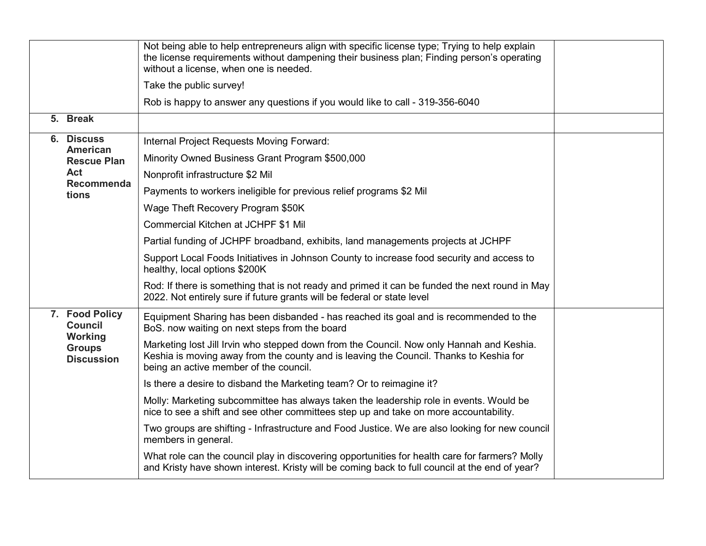|                                               | Not being able to help entrepreneurs align with specific license type; Trying to help explain<br>the license requirements without dampening their business plan; Finding person's operating<br>without a license, when one is needed. |  |
|-----------------------------------------------|---------------------------------------------------------------------------------------------------------------------------------------------------------------------------------------------------------------------------------------|--|
|                                               | Take the public survey!                                                                                                                                                                                                               |  |
|                                               | Rob is happy to answer any questions if you would like to call - 319-356-6040                                                                                                                                                         |  |
| 5. Break                                      |                                                                                                                                                                                                                                       |  |
| 6. Discuss                                    | Internal Project Requests Moving Forward:                                                                                                                                                                                             |  |
| American<br><b>Rescue Plan</b>                | Minority Owned Business Grant Program \$500,000                                                                                                                                                                                       |  |
| Act                                           | Nonprofit infrastructure \$2 Mil                                                                                                                                                                                                      |  |
| Recommenda<br>tions                           | Payments to workers ineligible for previous relief programs \$2 Mil                                                                                                                                                                   |  |
|                                               | Wage Theft Recovery Program \$50K                                                                                                                                                                                                     |  |
|                                               | Commercial Kitchen at JCHPF \$1 Mil                                                                                                                                                                                                   |  |
|                                               | Partial funding of JCHPF broadband, exhibits, land managements projects at JCHPF                                                                                                                                                      |  |
|                                               | Support Local Foods Initiatives in Johnson County to increase food security and access to<br>healthy, local options \$200K                                                                                                            |  |
|                                               | Rod: If there is something that is not ready and primed it can be funded the next round in May<br>2022. Not entirely sure if future grants will be federal or state level                                                             |  |
| 7. Food Policy<br><b>Council</b>              | Equipment Sharing has been disbanded - has reached its goal and is recommended to the<br>BoS. now waiting on next steps from the board                                                                                                |  |
| Working<br><b>Groups</b><br><b>Discussion</b> | Marketing lost Jill Irvin who stepped down from the Council. Now only Hannah and Keshia.<br>Keshia is moving away from the county and is leaving the Council. Thanks to Keshia for<br>being an active member of the council.          |  |
|                                               | Is there a desire to disband the Marketing team? Or to reimagine it?                                                                                                                                                                  |  |
|                                               | Molly: Marketing subcommittee has always taken the leadership role in events. Would be<br>nice to see a shift and see other committees step up and take on more accountability.                                                       |  |
|                                               | Two groups are shifting - Infrastructure and Food Justice. We are also looking for new council<br>members in general.                                                                                                                 |  |
|                                               | What role can the council play in discovering opportunities for health care for farmers? Molly<br>and Kristy have shown interest. Kristy will be coming back to full council at the end of year?                                      |  |